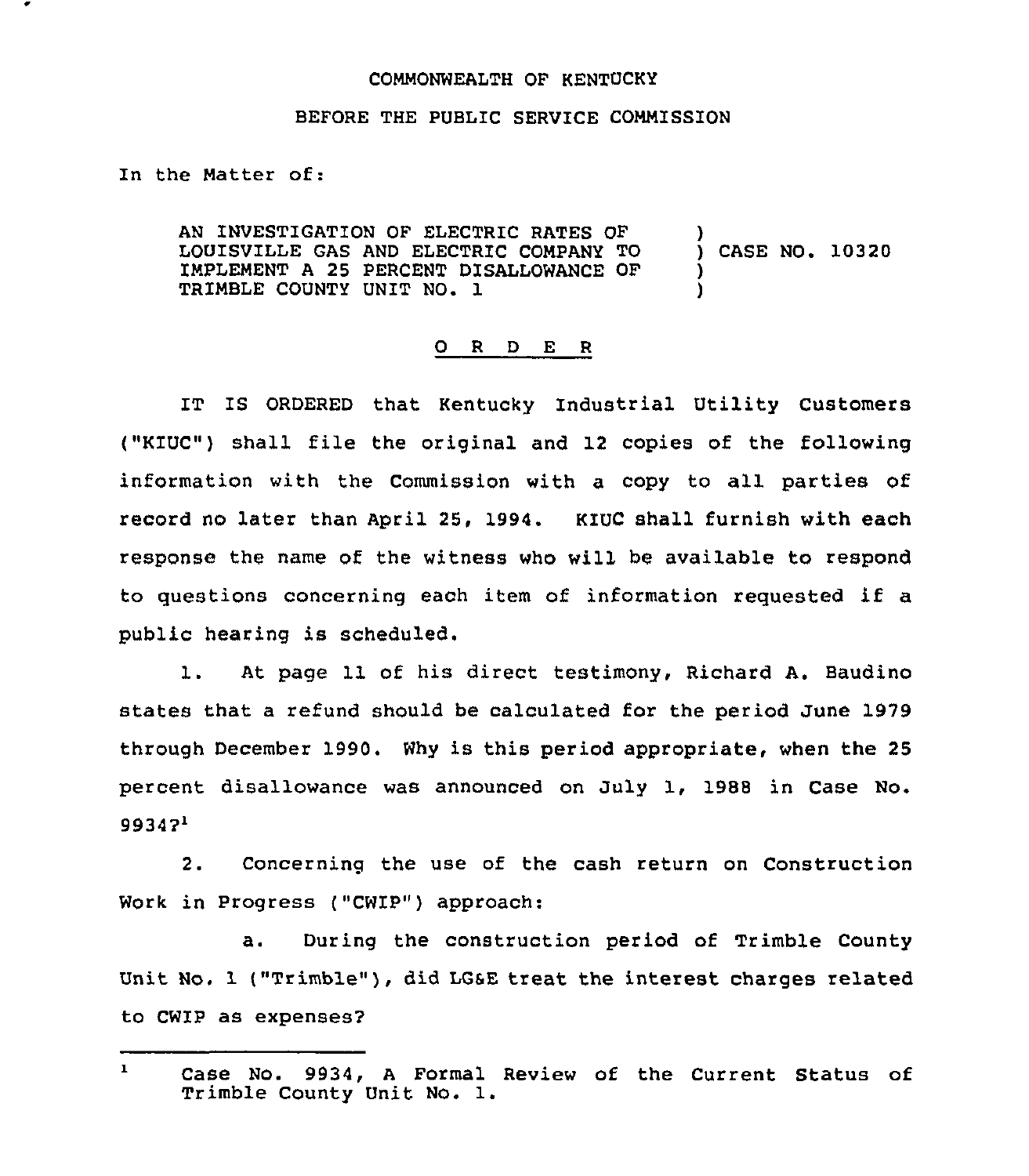## COMMONWEALTH OF KENTUCKY

## BEFORE THE PUBLIC SERVICE COMMISSION

In the Matter of:

AN INVESTIGATION OF ELECTRIC RATES OF LOUISVILLE GAS AND ELECTRIC COMPANY TO IMPLEMENT <sup>A</sup> 25 PERCENT DISALLOWANCE OF TR1MBLE COUNTY UNIT NO. 1 ) ) CASE NO. 10320 ) )

## 0 <sup>R</sup> <sup>D</sup> E <sup>R</sup>

IT IS ORDERED that Kentucky Industrial Utility Customers ("KIUC") shall file the original and 12 copies of the following information with the Commission with a copy to all parties of record no later than April 25, 1994. KIUC shall furnish with each response the name of the witness who will be available to respond to guestions concerning each item of information reguested if <sup>a</sup> public hearing is scheduled.

l. At page <sup>11</sup> of his direct testimony, Richard A. Baudino states that a refund should be calculated for the period June 1979 through December 1990. Why is this period appropriate, when the 25 percent disallowance was announced on July 1, 1988 in Case No.  $99347<sup>1</sup>$ 

2. Concerninq the use of the cash return on Construction Work in Progress ("CWIP") approach:

a. During the construction period of Trimble County Unit No. 1 ("Trimble"), did LGsE treat the interest charges related to CWIP as expenses?

 $\mathbf{1}$ Case No. 9934, <sup>A</sup> Formal Review of the Current Status of Trimble County Unit No. l.